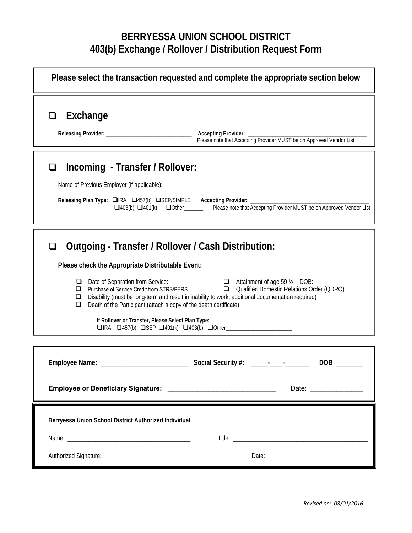## **BERRYESSA UNION SCHOOL DISTRICT 403(b) Exchange / Rollover / Distribution Request Form**

| Please select the transaction requested and complete the appropriate section below                                                                                                                                                                                                                                                                                                                                                                                                                                                                                                                                                                            |                                                                     |
|---------------------------------------------------------------------------------------------------------------------------------------------------------------------------------------------------------------------------------------------------------------------------------------------------------------------------------------------------------------------------------------------------------------------------------------------------------------------------------------------------------------------------------------------------------------------------------------------------------------------------------------------------------------|---------------------------------------------------------------------|
| Exchange<br>❏                                                                                                                                                                                                                                                                                                                                                                                                                                                                                                                                                                                                                                                 | Please note that Accepting Provider MUST be on Approved Vendor List |
| Incoming - Transfer / Rollover:<br>$\Box$<br>Releasing Plan Type: □IRA □457(b) □SEP/SIMPLE Accepting Provider: ______________<br>□403(b) □401(k) □ Other Please note that Accepting Provider MUST be on Approved Vendor List                                                                                                                                                                                                                                                                                                                                                                                                                                  |                                                                     |
| Outgoing - Transfer / Rollover / Cash Distribution:<br>ப<br>Please check the Appropriate Distributable Event:<br>□ Date of Separation from Service: ______________   □ Attainment of age 59 ½ - DOB: ________<br>□ Purchase of Service Credit from STRS/PERS □ Qualified Domestic Relations Order (QDRO)<br>⊔<br>Disability (must be long-term and result in inability to work, additional documentation required)<br>□<br>Death of the Participant (attach a copy of the death certificate)<br>⊔<br>If Rollover or Transfer, Please Select Plan Type:<br>$\Box$ IRA $\Box$ 457(b) $\Box$ SEP $\Box$ 401(k) $\Box$ 403(b) $\Box$ Other_______________________ |                                                                     |
| Employee or Beneficiary Signature: National American Contract Control of the Contract Oriental American Contract Contract Oriental American Contract Oriental American Contract Oriental American Contract Oriental American C                                                                                                                                                                                                                                                                                                                                                                                                                                | DOB<br>Date:                                                        |
| Berryessa Union School District Authorized Individual                                                                                                                                                                                                                                                                                                                                                                                                                                                                                                                                                                                                         |                                                                     |